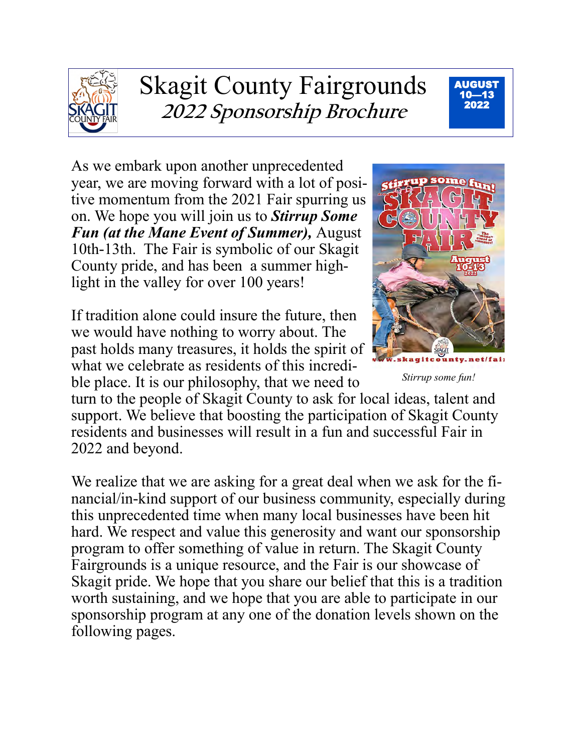

# Skagit County Fairgrounds **2022 Sponsorship Brochure**



As we embark upon another unprecedented year, we are moving forward with a lot of positive momentum from the 2021 Fair spurring us on. We hope you will join us to *Stirrup Some Fun (at the Mane Event of Summer),* August 10th-13th. The Fair is symbolic of our Skagit County pride, and has been a summer highlight in the valley for over 100 years!

If tradition alone could insure the future, then we would have nothing to worry about. The past holds many treasures, it holds the spirit of what we celebrate as residents of this incredible place. It is our philosophy, that we need to



*Stirrup some fun!*

turn to the people of Skagit County to ask for local ideas, talent and support. We believe that boosting the participation of Skagit County residents and businesses will result in a fun and successful Fair in 2022 and beyond.

We realize that we are asking for a great deal when we ask for the financial/in-kind support of our business community, especially during this unprecedented time when many local businesses have been hit hard. We respect and value this generosity and want our sponsorship program to offer something of value in return. The Skagit County Fairgrounds is a unique resource, and the Fair is our showcase of Skagit pride. We hope that you share our belief that this is a tradition worth sustaining, and we hope that you are able to participate in our sponsorship program at any one of the donation levels shown on the following pages.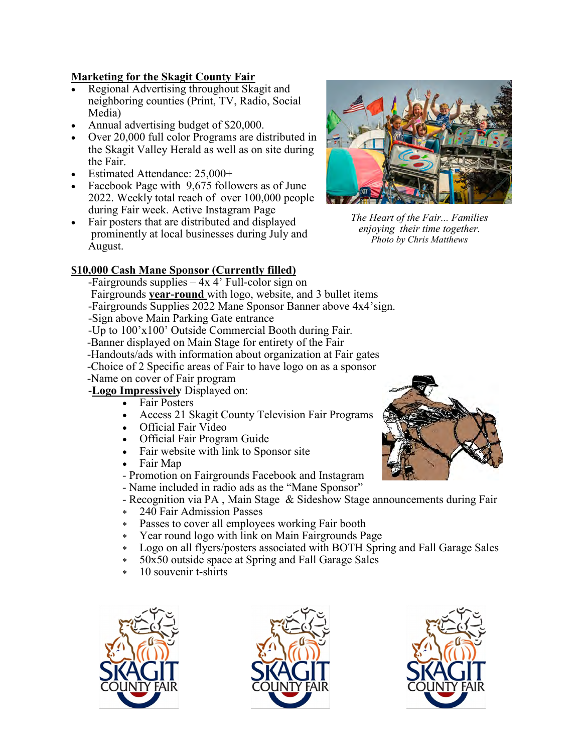#### **Marketing for the Skagit County Fair**

- Regional Advertising throughout Skagit and neighboring counties (Print, TV, Radio, Social Media)
- Annual advertising budget of \$20,000.
- Over 20,000 full color Programs are distributed in the Skagit Valley Herald as well as on site during the Fair.
- Estimated Attendance: 25,000+
- Facebook Page with 9,675 followers as of June 2022. Weekly total reach of over 100,000 people during Fair week. Active Instagram Page
- Fair posters that are distributed and displayed prominently at local businesses during July and August.

#### **\$10,000 Cash Mane Sponsor (Currently filled)**

- -Fairgrounds supplies 4x 4' Full-color sign on
- Fairgrounds **year-round** with logo, website, and 3 bullet items
- -Fairgrounds Supplies 2022 Mane Sponsor Banner above 4x4'sign.
- -Sign above Main Parking Gate entrance
- -Up to 100'x100' Outside Commercial Booth during Fair*.*
- -Banner displayed on Main Stage for entirety of the Fair
- -Handouts/ads with information about organization at Fair gates
- -Choice of 2 Specific areas of Fair to have logo on as a sponsor
- -Name on cover of Fair program
- -**Logo Impressively** Displayed on:
	- Fair Posters
	- Access 21 Skagit County Television Fair Programs
	- Official Fair Video
	- Official Fair Program Guide
	- Fair website with link to Sponsor site
	- Fair Map
	- Promotion on Fairgrounds Facebook and Instagram
	- Name included in radio ads as the "Mane Sponsor"
	- Recognition via PA , Main Stage & Sideshow Stage announcements during Fair
	- 240 Fair Admission Passes
	- Passes to cover all employees working Fair booth
	- Year round logo with link on Main Fairgrounds Page
	- Logo on all flyers/posters associated with BOTH Spring and Fall Garage Sales
	- 50x50 outside space at Spring and Fall Garage Sales
	- 10 souvenir t-shirts









*The Heart of the Fair... Families enjoying their time together. Photo by Chris Matthews*

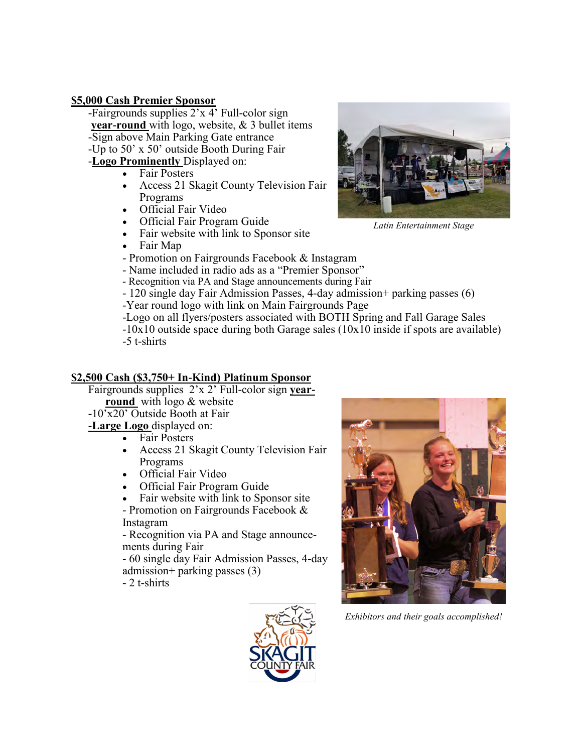#### **\$5,000 Cash Premier Sponsor**

-Fairgrounds supplies 2'x 4' Full-color sign **year-round** with logo, website, & 3 bullet items -Sign above Main Parking Gate entrance -Up to 50' x 50' outside Booth During Fair -**Logo Prominently** Displayed on:

- Fair Posters
- Access 21 Skagit County Television Fair Programs
- Official Fair Video
- Official Fair Program Guide
- Fair website with link to Sponsor site
- Fair Map
- Promotion on Fairgrounds Facebook & Instagram
- Name included in radio ads as a "Premier Sponsor"

- Recognition via PA and Stage announcements during Fair

- 120 single day Fair Admission Passes, 4-day admission+ parking passes (6)
- -Year round logo with link on Main Fairgrounds Page
- -Logo on all flyers/posters associated with BOTH Spring and Fall Garage Sales
- -10x10 outside space during both Garage sales (10x10 inside if spots are available) -5 t-shirts

#### **\$2,500 Cash (\$3,750+ In-Kind) Platinum Sponsor**

- Fairgrounds supplies 2'x 2' Full-color sign **yearround** with logo & website
- **-**10'x20' Outside Booth at Fair
- **-Large Logo** displayed on:
	- Fair Posters
	- Access 21 Skagit County Television Fair Programs
	- Official Fair Video
	- Official Fair Program Guide
	- Fair website with link to Sponsor site

- Promotion on Fairgrounds Facebook & Instagram

- Recognition via PA and Stage announcements during Fair

- 60 single day Fair Admission Passes, 4-day admission+ parking passes (3)

- 2 t-shirts





*Exhibitors and their goals accomplished!* 

*Latin Entertainment Stage*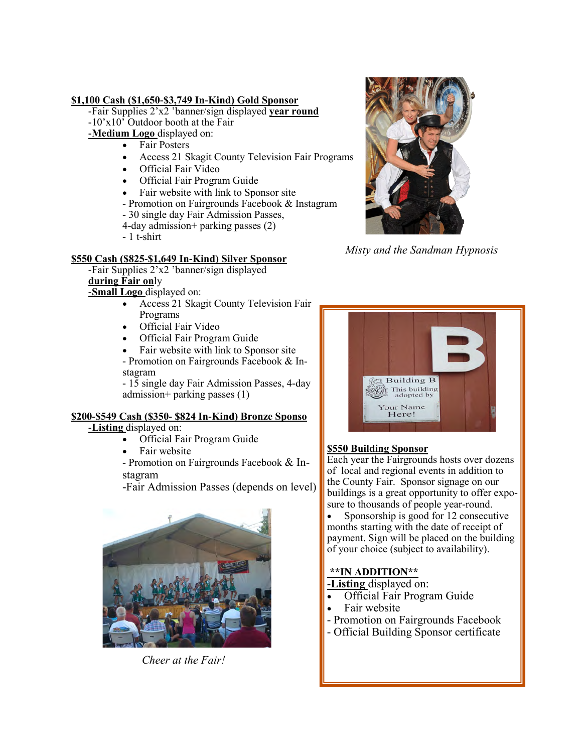#### **\$1,100 Cash (\$1,650-\$3,749 In-Kind) Gold Sponsor**

-Fair Supplies 2'x2 'banner/sign displayed **year round**   $-10'x10'$  Outdoor booth at the Fair

**-Medium Logo** displayed on:

- Fair Posters
- Access 21 Skagit County Television Fair Programs
- Official Fair Video
- Official Fair Program Guide
- Fair website with link to Sponsor site
- Promotion on Fairgrounds Facebook & Instagram
- 30 single day Fair Admission Passes,
- 4-day admission+ parking passes (2)
- 1 t-shirt

#### **\$550 Cash (\$825-\$1,649 In-Kind) Silver Sponsor**

-Fair Supplies 2'x2 'banner/sign displayed **during Fair on**ly

**-Small Logo** displayed on:

- Access 21 Skagit County Television Fair Programs
- Official Fair Video
- Official Fair Program Guide
- Fair website with link to Sponsor site - Promotion on Fairgrounds Facebook & Instagram

- 15 single day Fair Admission Passes, 4-day admission+ parking passes (1)

#### **\$200-\$549 Cash (\$350- \$824 In-Kind) Bronze Sponso**

**-Listing** displayed on:

- Official Fair Program Guide
- Fair website

- Promotion on Fairgrounds Facebook & Instagram

-Fair Admission Passes (depends on level)



*Cheer at the Fair!*



*Misty and the Sandman Hypnosis*



#### **\$550 Building Sponsor**

Each year the Fairgrounds hosts over dozens of local and regional events in addition to the County Fair. Sponsor signage on our buildings is a great opportunity to offer exposure to thousands of people year-round.

• Sponsorship is good for 12 consecutive months starting with the date of receipt of payment. Sign will be placed on the building of your choice (subject to availability).

#### **\*\*IN ADDITION\*\***

**-Listing** displayed on:

- Official Fair Program Guide
- Fair website
- Promotion on Fairgrounds Facebook
- Official Building Sponsor certificate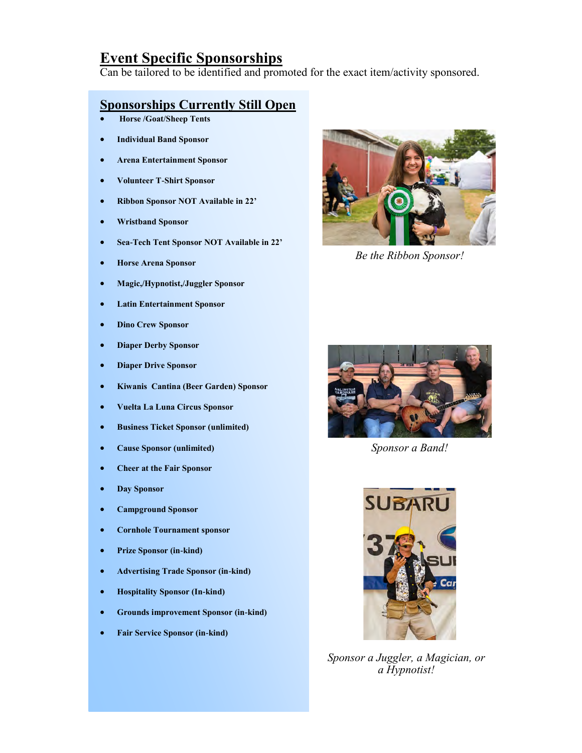### **Event Specific Sponsorships**

Can be tailored to be identified and promoted for the exact item/activity sponsored.

#### **Sponsorships Currently Still Open**

- **Horse /Goat/Sheep Tents**
- **Individual Band Sponsor**
- **Arena Entertainment Sponsor**
- **Volunteer T-Shirt Sponsor**
- **Ribbon Sponsor NOT Available in 22'**
- **Wristband Sponsor**
- **Sea-Tech Tent Sponsor NOT Available in 22'**
- **Horse Arena Sponsor**
- **Magic,/Hypnotist,/Juggler Sponsor**
- **Latin Entertainment Sponsor**
- **Dino Crew Sponsor**
- **Diaper Derby Sponsor**
- **Diaper Drive Sponsor**
- **Kiwanis Cantina (Beer Garden) Sponsor**
- **Vuelta La Luna Circus Sponsor**
- **Business Ticket Sponsor (unlimited)**
- **Cause Sponsor (unlimited)**
- **Cheer at the Fair Sponsor**
- **Day Sponsor**
- **Campground Sponsor**
- **Cornhole Tournament sponsor**
- **Prize Sponsor (in-kind)**
- **Advertising Trade Sponsor (in-kind)**
- **Hospitality Sponsor (In-kind)**
- **Grounds improvement Sponsor (in-kind)**
- **Fair Service Sponsor (in-kind)**



*Be the Ribbon Sponsor!*



*Sponsor a Band!*



*Sponsor a Juggler, a Magician, or a Hypnotist!*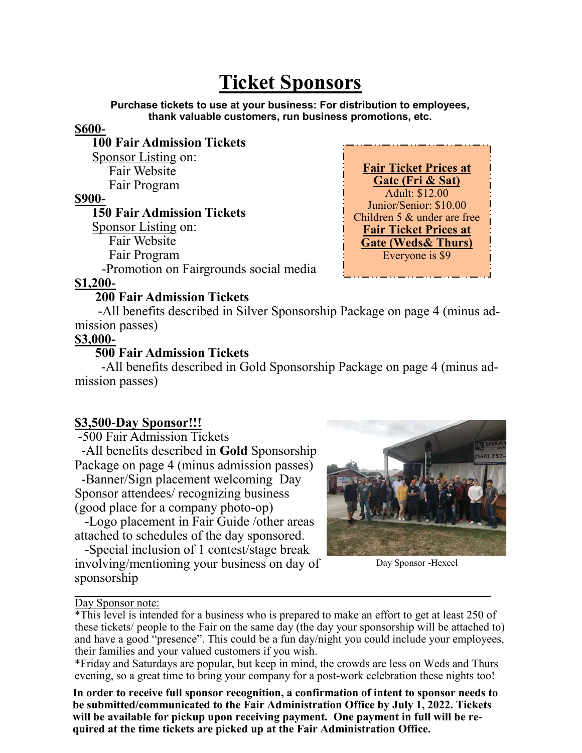## **Ticket Sponsors**

**Purchase tickets to use at your business: For distribution to employees, thank valuable customers, run business promotions, etc.**

#### **\$600-**

**100 Fair Admission Tickets** Sponsor Listing on: Fair Website Fair Program

#### **\$900-**

**150 Fair Admission Tickets** Sponsor Listing on: Fair Website Fair Program -Promotion on Fairgrounds social media

**Fair Ticket Prices at Gate (Fri & Sat)** Adult: \$12.00 Junior/Senior: \$10.00 Children 5 & under are free **Fair Ticket Prices at Gate (Weds& Thurs)** Everyone is \$9

#### **\$1,200-**

#### **200 Fair Admission Tickets**

 -All benefits described in Silver Sponsorship Package on page 4 (minus admission passes)

#### **\$3,000-**

#### **500 Fair Admission Tickets**

 -All benefits described in Gold Sponsorship Package on page 4 (minus admission passes)

#### **\$3,500-Day Sponsor!!!**

**-**500 Fair Admission Tickets

 -All benefits described in **Gold** Sponsorship Package on page 4 (minus admission passes)

 -Banner/Sign placement welcoming Day Sponsor attendees/ recognizing business (good place for a company photo-op)

 -Logo placement in Fair Guide /other areas attached to schedules of the day sponsored.

 -Special inclusion of 1 contest/stage break involving/mentioning your business on day of sponsorship



Day Sponsor -Hexcel

Day Sponsor note:

\_\_\_\_\_\_\_\_\_\_\_\_\_\_\_\_\_\_\_\_\_\_\_\_\_\_\_\_\_\_\_\_\_\_\_\_\_\_\_\_\_\_\_\_\_\_\_\_\_\_\_\_\_\_\_\_\_\_\_\_\_\_\_\_\_\_\_\_\_\_\_\_\_

\*Friday and Saturdays are popular, but keep in mind, the crowds are less on Weds and Thurs evening, so a great time to bring your company for a post-work celebration these nights too!

**In order to receive full sponsor recognition, a confirmation of intent to sponsor needs to be submitted/communicated to the Fair Administration Office by July 1, 2022. Tickets will be available for pickup upon receiving payment. One payment in full will be required at the time tickets are picked up at the Fair Administration Office.** 

<sup>\*</sup>This level is intended for a business who is prepared to make an effort to get at least 250 of these tickets/ people to the Fair on the same day (the day your sponsorship will be attached to) and have a good "presence". This could be a fun day/night you could include your employees, their families and your valued customers if you wish.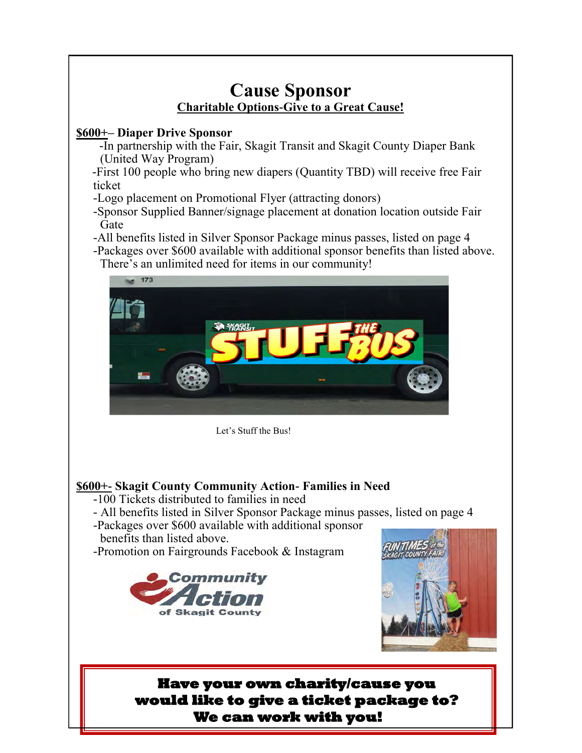## **Cause Sponsor Charitable Options-Give to a Great Cause! \$600+– Diaper Drive Sponsor**  -In partnership with the Fair, Skagit Transit and Skagit County Diaper Bank (United Way Program) -First 100 people who bring new diapers (Quantity TBD) will receive free Fair ticket -Logo placement on Promotional Flyer (attracting donors) -Sponsor Supplied Banner/signage placement at donation location outside Fair Gate -All benefits listed in Silver Sponsor Package minus passes, listed on page 4 -Packages over \$600 available with additional sponsor benefits than listed above. There's an unlimited need for items in our community! **\$600+- Skagit County Community Action- Families in Need** -100 Tickets distributed to families in need - All benefits listed in Silver Sponsor Package minus passes, listed on page 4 -Packages over \$600 available with additional sponsor benefits than listed above. -Promotion on Fairgrounds Facebook & Instagram Let's Stuff the Bus!  **Have your own charity/cause you would like to give a ticket package to? We can work with you!**